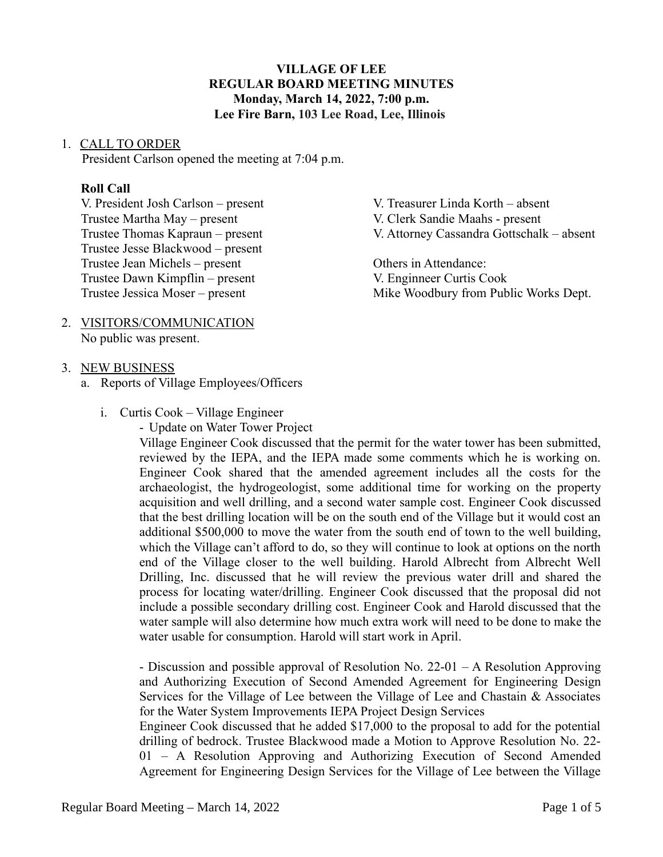# **VILLAGE OF LEE REGULAR BOARD MEETING MINUTES Monday, March 14, 2022, 7:00 p.m. Lee Fire Barn, 103 Lee Road, Lee, Illinois**

#### 1. CALL TO ORDER

President Carlson opened the meeting at 7:04 p.m.

#### **Roll Call**

V. President Josh Carlson – present V. Treasurer Linda Korth – absent Trustee Martha May – present V. Clerk Sandie Maahs - present Trustee Thomas Kapraun – present V. Attorney Cassandra Gottschalk – absent Trustee Jesse Blackwood – present Trustee Jean Michels – present Others in Attendance:

### 2. VISITORS/COMMUNICATION No public was present.

#### 3. NEW BUSINESS

a. Reports of Village Employees/Officers

- i. Curtis Cook Village Engineer
	- Update on Water Tower Project

Trustee Dawn Kimpflin – present V. Enginneer Curtis Cook Trustee Jessica Moser – present Mike Woodbury from Public Works Dept.

> Village Engineer Cook discussed that the permit for the water tower has been submitted, reviewed by the IEPA, and the IEPA made some comments which he is working on. Engineer Cook shared that the amended agreement includes all the costs for the archaeologist, the hydrogeologist, some additional time for working on the property acquisition and well drilling, and a second water sample cost. Engineer Cook discussed that the best drilling location will be on the south end of the Village but it would cost an additional \$500,000 to move the water from the south end of town to the well building, which the Village can't afford to do, so they will continue to look at options on the north end of the Village closer to the well building. Harold Albrecht from Albrecht Well Drilling, Inc. discussed that he will review the previous water drill and shared the process for locating water/drilling. Engineer Cook discussed that the proposal did not include a possible secondary drilling cost. Engineer Cook and Harold discussed that the water sample will also determine how much extra work will need to be done to make the water usable for consumption. Harold will start work in April.

> - Discussion and possible approval of Resolution No. 22-01 – A Resolution Approving and Authorizing Execution of Second Amended Agreement for Engineering Design Services for the Village of Lee between the Village of Lee and Chastain & Associates for the Water System Improvements IEPA Project Design Services

> Engineer Cook discussed that he added \$17,000 to the proposal to add for the potential drilling of bedrock. Trustee Blackwood made a Motion to Approve Resolution No. 22- 01 – A Resolution Approving and Authorizing Execution of Second Amended Agreement for Engineering Design Services for the Village of Lee between the Village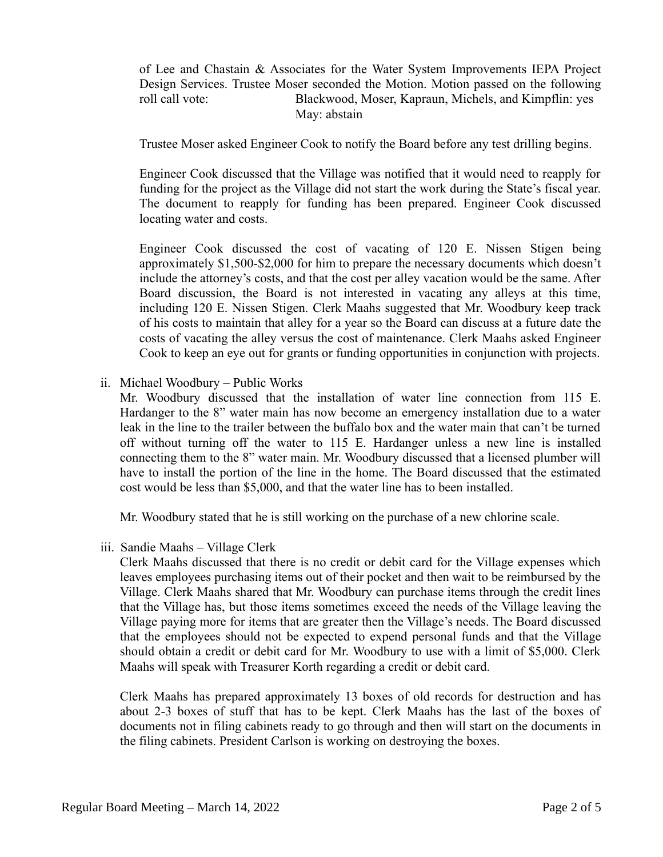of Lee and Chastain & Associates for the Water System Improvements IEPA Project Design Services. Trustee Moser seconded the Motion. Motion passed on the following roll call vote: Blackwood, Moser, Kapraun, Michels, and Kimpflin: yes May: abstain

Trustee Moser asked Engineer Cook to notify the Board before any test drilling begins.

Engineer Cook discussed that the Village was notified that it would need to reapply for funding for the project as the Village did not start the work during the State's fiscal year. The document to reapply for funding has been prepared. Engineer Cook discussed locating water and costs.

Engineer Cook discussed the cost of vacating of 120 E. Nissen Stigen being approximately \$1,500-\$2,000 for him to prepare the necessary documents which doesn't include the attorney's costs, and that the cost per alley vacation would be the same. After Board discussion, the Board is not interested in vacating any alleys at this time, including 120 E. Nissen Stigen. Clerk Maahs suggested that Mr. Woodbury keep track of his costs to maintain that alley for a year so the Board can discuss at a future date the costs of vacating the alley versus the cost of maintenance. Clerk Maahs asked Engineer Cook to keep an eye out for grants or funding opportunities in conjunction with projects.

ii. Michael Woodbury – Public Works

Mr. Woodbury discussed that the installation of water line connection from 115 E. Hardanger to the 8" water main has now become an emergency installation due to a water leak in the line to the trailer between the buffalo box and the water main that can't be turned off without turning off the water to 115 E. Hardanger unless a new line is installed connecting them to the 8" water main. Mr. Woodbury discussed that a licensed plumber will have to install the portion of the line in the home. The Board discussed that the estimated cost would be less than \$5,000, and that the water line has to been installed.

Mr. Woodbury stated that he is still working on the purchase of a new chlorine scale.

iii. Sandie Maahs – Village Clerk

Clerk Maahs discussed that there is no credit or debit card for the Village expenses which leaves employees purchasing items out of their pocket and then wait to be reimbursed by the Village. Clerk Maahs shared that Mr. Woodbury can purchase items through the credit lines that the Village has, but those items sometimes exceed the needs of the Village leaving the Village paying more for items that are greater then the Village's needs. The Board discussed that the employees should not be expected to expend personal funds and that the Village should obtain a credit or debit card for Mr. Woodbury to use with a limit of \$5,000. Clerk Maahs will speak with Treasurer Korth regarding a credit or debit card.

Clerk Maahs has prepared approximately 13 boxes of old records for destruction and has about 2-3 boxes of stuff that has to be kept. Clerk Maahs has the last of the boxes of documents not in filing cabinets ready to go through and then will start on the documents in the filing cabinets. President Carlson is working on destroying the boxes.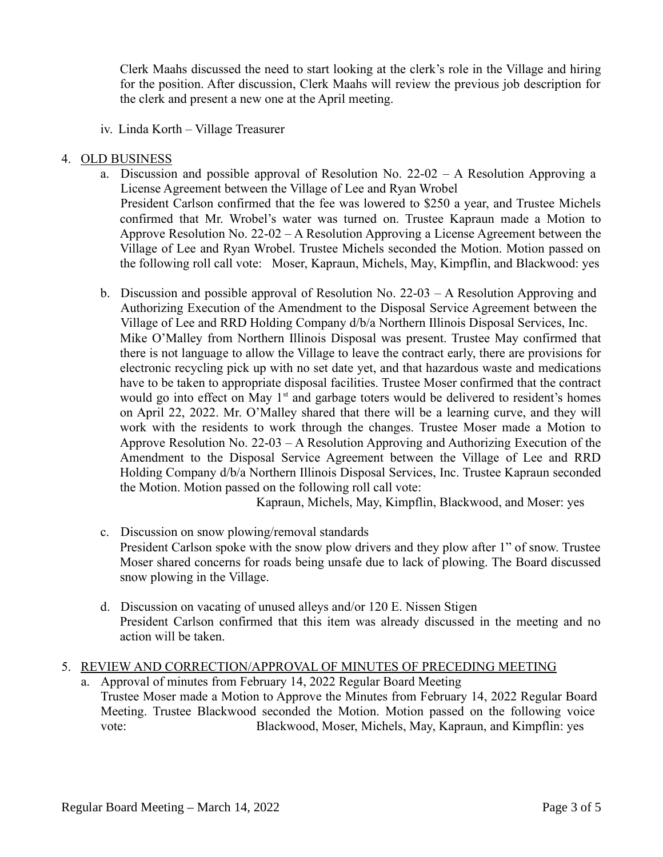Clerk Maahs discussed the need to start looking at the clerk's role in the Village and hiring for the position. After discussion, Clerk Maahs will review the previous job description for the clerk and present a new one at the April meeting.

iv. Linda Korth – Village Treasurer

# 4. OLD BUSINESS

- a. Discussion and possible approval of Resolution No. 22-02 A Resolution Approving a License Agreement between the Village of Lee and Ryan Wrobel President Carlson confirmed that the fee was lowered to \$250 a year, and Trustee Michels confirmed that Mr. Wrobel's water was turned on. Trustee Kapraun made a Motion to Approve Resolution No. 22-02 – A Resolution Approving a License Agreement between the Village of Lee and Ryan Wrobel. Trustee Michels seconded the Motion. Motion passed on the following roll call vote: Moser, Kapraun, Michels, May, Kimpflin, and Blackwood: yes
- b. Discussion and possible approval of Resolution No. 22-03 A Resolution Approving and Authorizing Execution of the Amendment to the Disposal Service Agreement between the Village of Lee and RRD Holding Company d/b/a Northern Illinois Disposal Services, Inc. Mike O'Malley from Northern Illinois Disposal was present. Trustee May confirmed that there is not language to allow the Village to leave the contract early, there are provisions for electronic recycling pick up with no set date yet, and that hazardous waste and medications have to be taken to appropriate disposal facilities. Trustee Moser confirmed that the contract would go into effect on May  $1<sup>st</sup>$  and garbage toters would be delivered to resident's homes on April 22, 2022. Mr. O'Malley shared that there will be a learning curve, and they will work with the residents to work through the changes. Trustee Moser made a Motion to Approve Resolution No. 22-03 – A Resolution Approving and Authorizing Execution of the Amendment to the Disposal Service Agreement between the Village of Lee and RRD Holding Company d/b/a Northern Illinois Disposal Services, Inc. Trustee Kapraun seconded the Motion. Motion passed on the following roll call vote:

Kapraun, Michels, May, Kimpflin, Blackwood, and Moser: yes

- c. Discussion on snow plowing/removal standards President Carlson spoke with the snow plow drivers and they plow after 1" of snow. Trustee Moser shared concerns for roads being unsafe due to lack of plowing. The Board discussed snow plowing in the Village.
- d. Discussion on vacating of unused alleys and/or 120 E. Nissen Stigen President Carlson confirmed that this item was already discussed in the meeting and no action will be taken.

## 5. REVIEW AND CORRECTION/APPROVAL OF MINUTES OF PRECEDING MEETING

a. Approval of minutes from February 14, 2022 Regular Board Meeting Trustee Moser made a Motion to Approve the Minutes from February 14, 2022 Regular Board Meeting. Trustee Blackwood seconded the Motion. Motion passed on the following voice vote: Blackwood, Moser, Michels, May, Kapraun, and Kimpflin: yes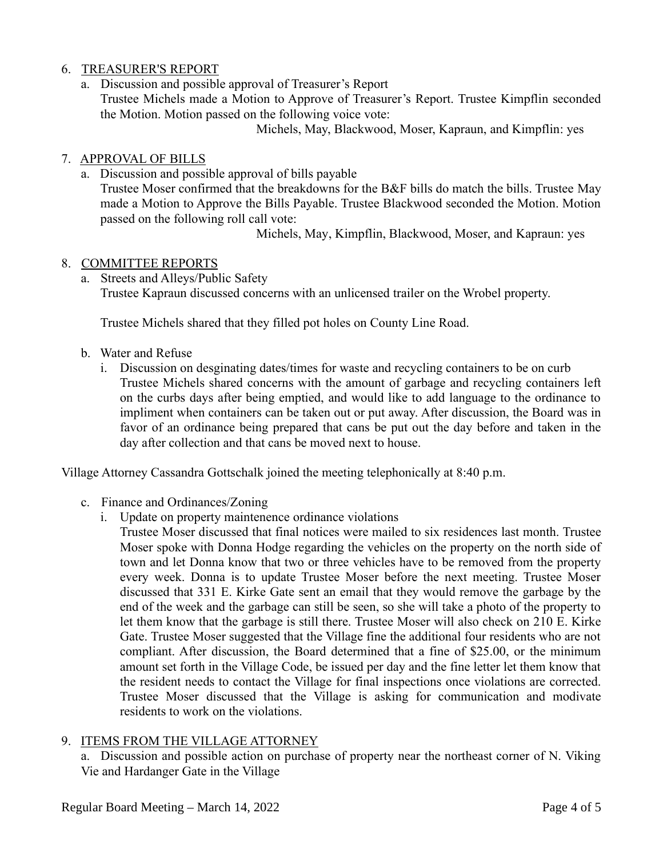# 6. TREASURER'S REPORT

a. Discussion and possible approval of Treasurer's Report Trustee Michels made a Motion to Approve of Treasurer's Report. Trustee Kimpflin seconded the Motion. Motion passed on the following voice vote:

Michels, May, Blackwood, Moser, Kapraun, and Kimpflin: yes

# 7. APPROVAL OF BILLS

a. Discussion and possible approval of bills payable

Trustee Moser confirmed that the breakdowns for the B&F bills do match the bills. Trustee May made a Motion to Approve the Bills Payable. Trustee Blackwood seconded the Motion. Motion passed on the following roll call vote:

Michels, May, Kimpflin, Blackwood, Moser, and Kapraun: yes

# 8. COMMITTEE REPORTS

a. Streets and Alleys/Public Safety Trustee Kapraun discussed concerns with an unlicensed trailer on the Wrobel property.

Trustee Michels shared that they filled pot holes on County Line Road.

- b. Water and Refuse
	- i. Discussion on desginating dates/times for waste and recycling containers to be on curb Trustee Michels shared concerns with the amount of garbage and recycling containers left on the curbs days after being emptied, and would like to add language to the ordinance to impliment when containers can be taken out or put away. After discussion, the Board was in favor of an ordinance being prepared that cans be put out the day before and taken in the day after collection and that cans be moved next to house.

Village Attorney Cassandra Gottschalk joined the meeting telephonically at 8:40 p.m.

- c. Finance and Ordinances/Zoning
	- i. Update on property maintenence ordinance violations
		- Trustee Moser discussed that final notices were mailed to six residences last month. Trustee Moser spoke with Donna Hodge regarding the vehicles on the property on the north side of town and let Donna know that two or three vehicles have to be removed from the property every week. Donna is to update Trustee Moser before the next meeting. Trustee Moser discussed that 331 E. Kirke Gate sent an email that they would remove the garbage by the end of the week and the garbage can still be seen, so she will take a photo of the property to let them know that the garbage is still there. Trustee Moser will also check on 210 E. Kirke Gate. Trustee Moser suggested that the Village fine the additional four residents who are not compliant. After discussion, the Board determined that a fine of \$25.00, or the minimum amount set forth in the Village Code, be issued per day and the fine letter let them know that the resident needs to contact the Village for final inspections once violations are corrected. Trustee Moser discussed that the Village is asking for communication and modivate residents to work on the violations.

# 9. ITEMS FROM THE VILLAGE ATTORNEY

a. Discussion and possible action on purchase of property near the northeast corner of N. Viking Vie and Hardanger Gate in the Village